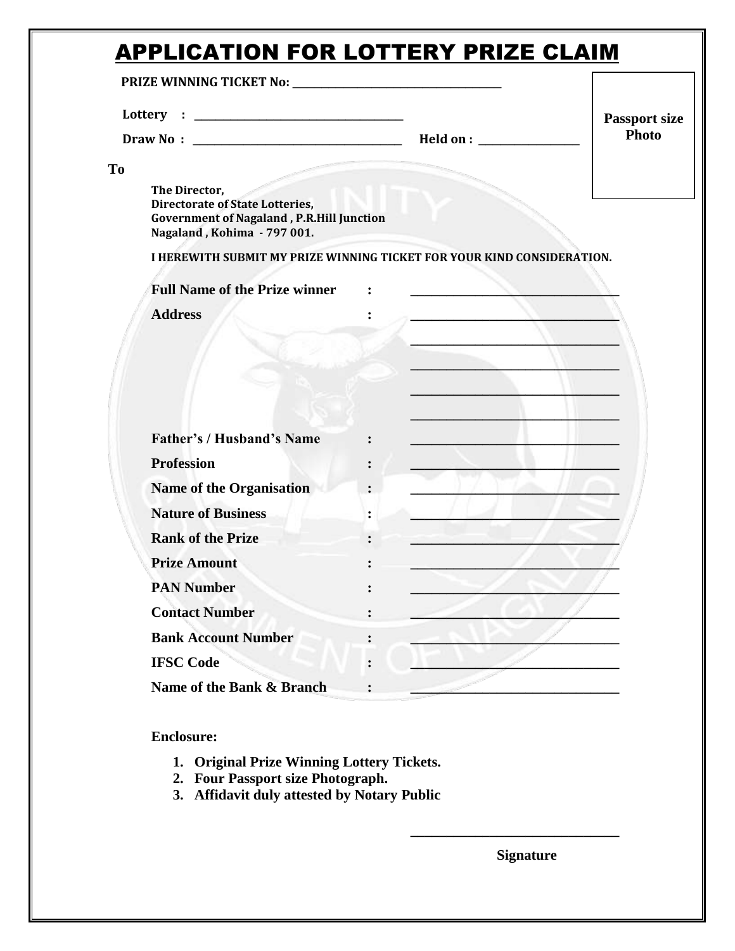## APPLICATION FOR LOTTERY PRIZE CLAIM

|           |                                                                                                                                            |                | <b>Passport size</b> |
|-----------|--------------------------------------------------------------------------------------------------------------------------------------------|----------------|----------------------|
|           |                                                                                                                                            |                | Photo                |
| <b>To</b> |                                                                                                                                            |                |                      |
|           | The Director,<br><b>Directorate of State Lotteries,</b><br><b>Government of Nagaland, P.R.Hill Junction</b><br>Nagaland, Kohima - 797 001. |                |                      |
|           | I HEREWITH SUBMIT MY PRIZE WINNING TICKET FOR YOUR KIND CONSIDERATION.                                                                     |                |                      |
|           | <b>Full Name of the Prize winner</b>                                                                                                       |                |                      |
|           | <b>Address</b>                                                                                                                             |                |                      |
|           |                                                                                                                                            |                |                      |
|           |                                                                                                                                            |                |                      |
|           |                                                                                                                                            |                |                      |
|           |                                                                                                                                            |                |                      |
|           |                                                                                                                                            |                |                      |
|           | <b>Father's / Husband's Name</b>                                                                                                           |                |                      |
|           | <b>Profession</b>                                                                                                                          |                |                      |
|           | <b>Name of the Organisation</b>                                                                                                            |                |                      |
|           | <b>Nature of Business</b>                                                                                                                  |                |                      |
|           | <b>Rank of the Prize</b>                                                                                                                   |                |                      |
|           | <b>Prize Amount</b>                                                                                                                        |                |                      |
|           | <b>PAN Number</b>                                                                                                                          |                |                      |
|           | <b>Contact Number</b>                                                                                                                      |                |                      |
|           | <b>Bank Account Number</b>                                                                                                                 | $\ddot{\cdot}$ |                      |
|           | <b>IFSC Code</b>                                                                                                                           | $\ddot{\cdot}$ |                      |

**Enclosure:**

- **1. Original Prize Winning Lottery Tickets.**
- **2. Four Passport size Photograph.**
- **3. Affidavit duly attested by Notary Public**

**Signature**

**\_\_\_\_\_\_\_\_\_\_\_\_\_\_\_\_\_\_\_\_\_\_\_\_\_\_\_\_\_**